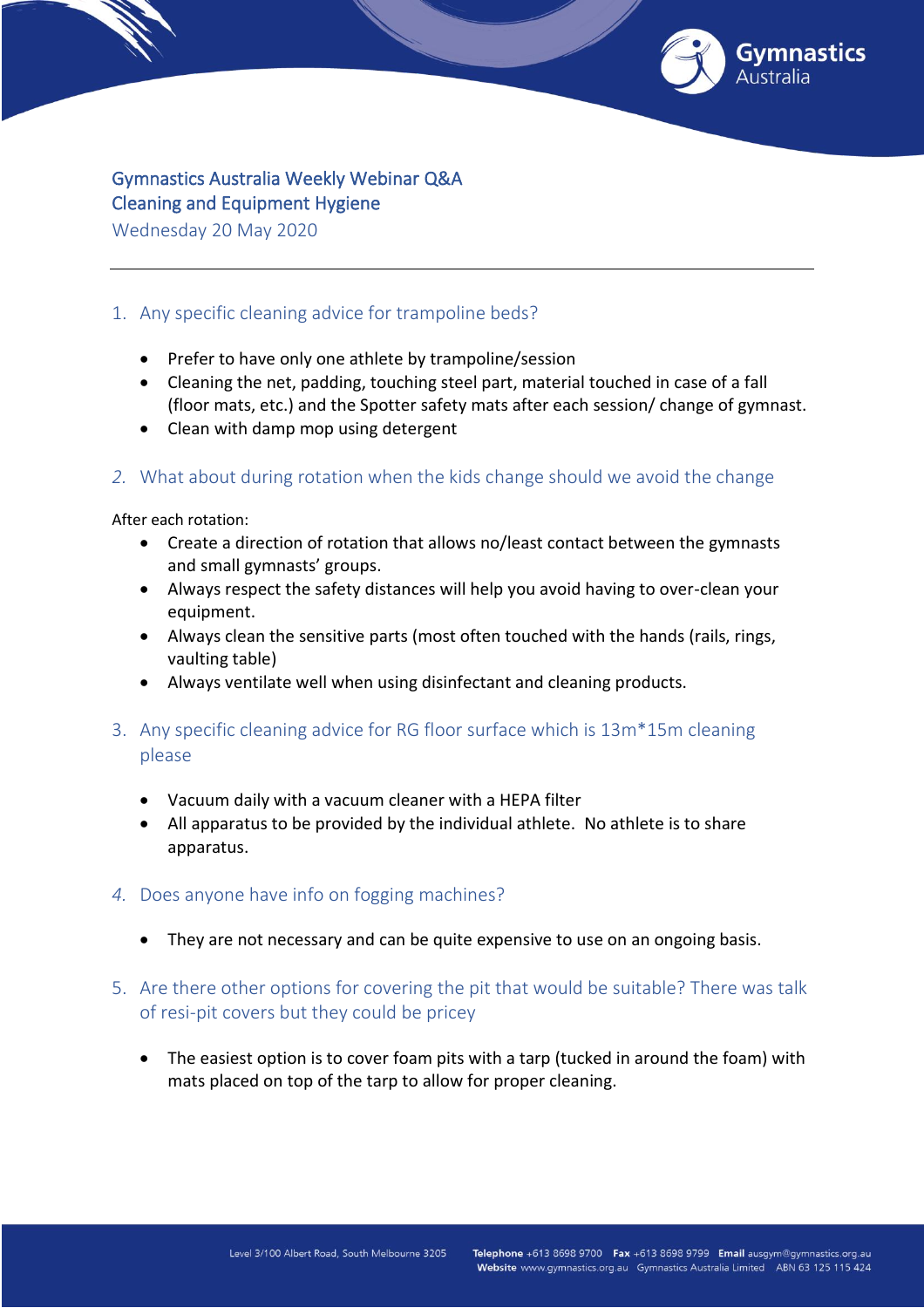

# Gymnastics Australia Weekly Webinar Q&A Cleaning and Equipment Hygiene

Wednesday 20 May 2020

# 1. Any specific cleaning advice for trampoline beds?

- Prefer to have only one athlete by trampoline/session
- Cleaning the net, padding, touching steel part, material touched in case of a fall (floor mats, etc.) and the Spotter safety mats after each session/ change of gymnast.
- Clean with damp mop using detergent

### *2.* What about during rotation when the kids change should we avoid the change

After each rotation:

- Create a direction of rotation that allows no/least contact between the gymnasts and small gymnasts' groups.
- Always respect the safety distances will help you avoid having to over-clean your equipment.
- Always clean the sensitive parts (most often touched with the hands (rails, rings, vaulting table)
- Always ventilate well when using disinfectant and cleaning products.
- 3. Any specific cleaning advice for RG floor surface which is 13m\*15m cleaning please
	- Vacuum daily with a vacuum cleaner with a HEPA filter
	- All apparatus to be provided by the individual athlete. No athlete is to share apparatus.
- *4.* Does anyone have info on fogging machines?
	- They are not necessary and can be quite expensive to use on an ongoing basis.
- 5. Are there other options for covering the pit that would be suitable? There was talk of resi-pit covers but they could be pricey
	- The easiest option is to cover foam pits with a tarp (tucked in around the foam) with mats placed on top of the tarp to allow for proper cleaning.